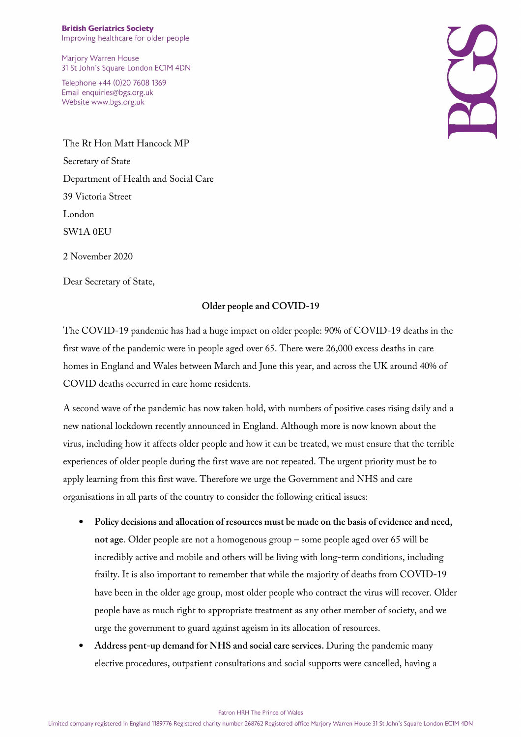Marjory Warren House 31 St John's Square London EC1M 4DN

Telephone +44 (0)20 7608 1369 Email enquiries@bgs.org.uk Website www.bgs.org.uk

The Rt Hon Matt Hancock MP Secretary of State Department of Health and Social Care 39 Victoria Street London SW1A 0EU

2 November 2020

Dear Secretary of State,

## **Older people and COVID-19**

The COVID-19 pandemic has had a huge impact on older people: 90% of COVID-19 deaths in the first wave of the pandemic were in people aged over 65. There were 26,000 excess deaths in care homes in England and Wales between March and June this year, and across the UK around 40% of COVID deaths occurred in care home residents.

A second wave of the pandemic has now taken hold, with numbers of positive cases rising daily and a new national lockdown recently announced in England. Although more is now known about the virus, including how it affects older people and how it can be treated, we must ensure that the terrible experiences of older people during the first wave are not repeated. The urgent priority must be to apply learning from this first wave. Therefore we urge the Government and NHS and care organisations in all parts of the country to consider the following critical issues:

- **Policy decisions and allocation of resources must be made on the basis of evidence and need, not age**. Older people are not a homogenous group – some people aged over 65 will be incredibly active and mobile and others will be living with long-term conditions, including frailty. It is also important to remember that while the majority of deaths from COVID-19 have been in the older age group, most older people who contract the virus will recover. Older people have as much right to appropriate treatment as any other member of society, and we urge the government to guard against ageism in its allocation of resources.
- **Address pent-up demand for NHS and social care services.** During the pandemic many elective procedures, outpatient consultations and social supports were cancelled, having a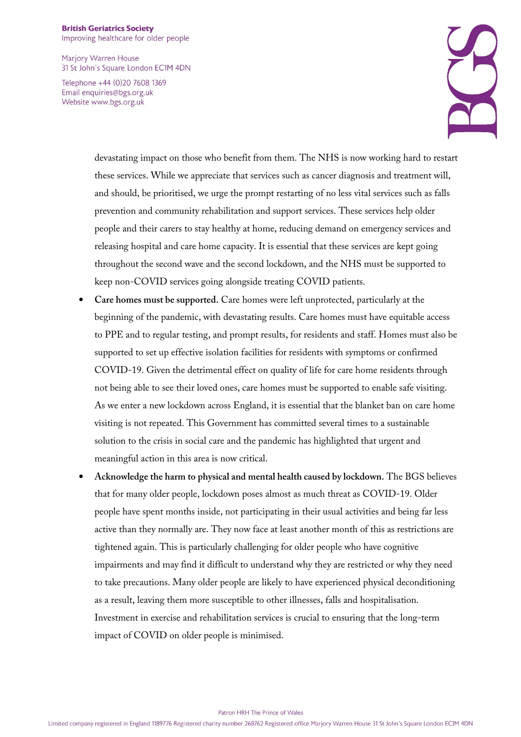## **British Geriatrics Society**

Improving healthcare for older people

Marjory Warren House 31 St John's Square London EC1M 4DN

Telephone +44 (0)20 7608 1369 Email enquiries@bgs.org.uk Website www.bgs.org.uk



devastating impact on those who benefit from them. The NHS is now working hard to restart these services. While we appreciate that services such as cancer diagnosis and treatment will, and should, be prioritised, we urge the prompt restarting of no less vital services such as falls prevention and community rehabilitation and support services. These services help older people and their carers to stay healthy at home, reducing demand on emergency services and releasing hospital and care home capacity. It is essential that these services are kept going throughout the second wave and the second lockdown, and the NHS must be supported to keep non-COVID services going alongside treating COVID patients.

- **Care homes must be supported.** Care homes were left unprotected, particularly at the beginning of the pandemic, with devastating results. Care homes must have equitable access to PPE and to regular testing, and prompt results, for residents and staff. Homes must also be supported to set up effective isolation facilities for residents with symptoms or confirmed COVID-19. Given the detrimental effect on quality of life for care home residents through not being able to see their loved ones, care homes must be supported to enable safe visiting. As we enter a new lockdown across England, it is essential that the blanket ban on care home visiting is not repeated. This Government has committed several times to a sustainable solution to the crisis in social care and the pandemic has highlighted that urgent and meaningful action in this area is now critical.
- **Acknowledge the harm to physical and mental health caused by lockdown.** The BGS believes that for many older people, lockdown poses almost as much threat as COVID-19. Older people have spent months inside, not participating in their usual activities and being far less active than they normally are. They now face at least another month of this as restrictions are tightened again. This is particularly challenging for older people who have cognitive impairments and may find it difficult to understand why they are restricted or why they need to take precautions. Many older people are likely to have experienced physical deconditioning as a result, leaving them more susceptible to other illnesses, falls and hospitalisation. Investment in exercise and rehabilitation services is crucial to ensuring that the long-term impact of COVID on older people is minimised.